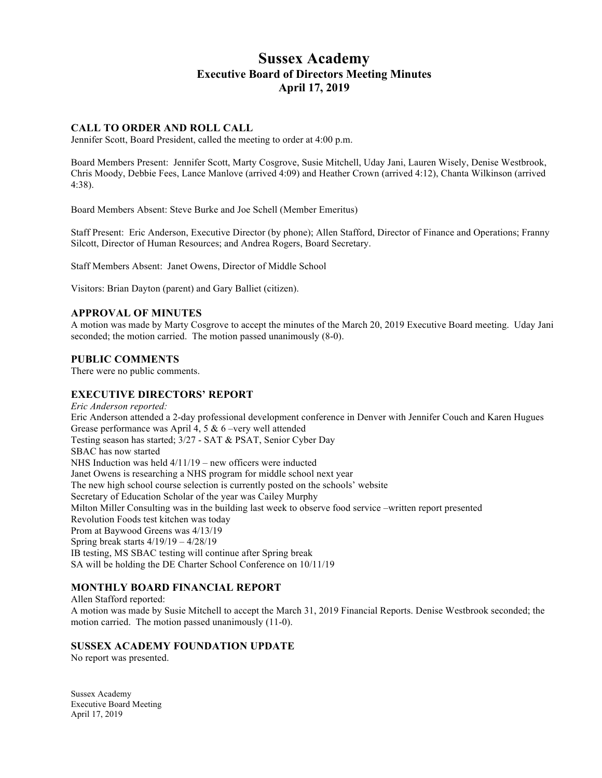# **Sussex Academy Executive Board of Directors Meeting Minutes April 17, 2019**

# **CALL TO ORDER AND ROLL CALL**

Jennifer Scott, Board President, called the meeting to order at 4:00 p.m.

Board Members Present: Jennifer Scott, Marty Cosgrove, Susie Mitchell, Uday Jani, Lauren Wisely, Denise Westbrook, Chris Moody, Debbie Fees, Lance Manlove (arrived 4:09) and Heather Crown (arrived 4:12), Chanta Wilkinson (arrived 4:38).

Board Members Absent: Steve Burke and Joe Schell (Member Emeritus)

Staff Present: Eric Anderson, Executive Director (by phone); Allen Stafford, Director of Finance and Operations; Franny Silcott, Director of Human Resources; and Andrea Rogers, Board Secretary.

Staff Members Absent: Janet Owens, Director of Middle School

Visitors: Brian Dayton (parent) and Gary Balliet (citizen).

### **APPROVAL OF MINUTES**

A motion was made by Marty Cosgrove to accept the minutes of the March 20, 2019 Executive Board meeting. Uday Jani seconded; the motion carried. The motion passed unanimously (8-0).

#### **PUBLIC COMMENTS**

There were no public comments.

# **EXECUTIVE DIRECTORS' REPORT**

*Eric Anderson reported:* Eric Anderson attended a 2-day professional development conference in Denver with Jennifer Couch and Karen Hugues Grease performance was April 4, 5 & 6 –very well attended Testing season has started; 3/27 - SAT & PSAT, Senior Cyber Day SBAC has now started NHS Induction was held 4/11/19 – new officers were inducted Janet Owens is researching a NHS program for middle school next year The new high school course selection is currently posted on the schools' website Secretary of Education Scholar of the year was Cailey Murphy Milton Miller Consulting was in the building last week to observe food service –written report presented Revolution Foods test kitchen was today Prom at Baywood Greens was 4/13/19 Spring break starts 4/19/19 – 4/28/19 IB testing, MS SBAC testing will continue after Spring break SA will be holding the DE Charter School Conference on 10/11/19

# **MONTHLY BOARD FINANCIAL REPORT**

Allen Stafford reported: A motion was made by Susie Mitchell to accept the March 31, 2019 Financial Reports. Denise Westbrook seconded; the motion carried. The motion passed unanimously (11-0).

#### **SUSSEX ACADEMY FOUNDATION UPDATE**

No report was presented.

Sussex Academy Executive Board Meeting April 17, 2019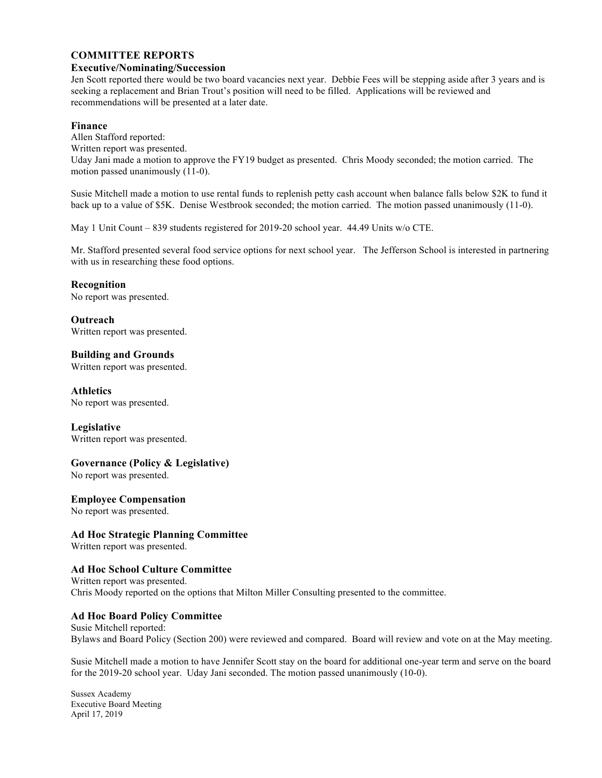### **COMMITTEE REPORTS**

#### **Executive/Nominating/Succession**

Jen Scott reported there would be two board vacancies next year. Debbie Fees will be stepping aside after 3 years and is seeking a replacement and Brian Trout's position will need to be filled. Applications will be reviewed and recommendations will be presented at a later date.

#### **Finance**

Allen Stafford reported:

Written report was presented.

Uday Jani made a motion to approve the FY19 budget as presented. Chris Moody seconded; the motion carried. The motion passed unanimously (11-0).

Susie Mitchell made a motion to use rental funds to replenish petty cash account when balance falls below \$2K to fund it back up to a value of \$5K. Denise Westbrook seconded; the motion carried. The motion passed unanimously (11-0).

May 1 Unit Count – 839 students registered for 2019-20 school year. 44.49 Units w/o CTE.

Mr. Stafford presented several food service options for next school year. The Jefferson School is interested in partnering with us in researching these food options.

### **Recognition**

No report was presented.

**Outreach** Written report was presented.

# **Building and Grounds**

Written report was presented.

### **Athletics**

No report was presented.

# **Legislative**

Written report was presented.

# **Governance (Policy & Legislative)**

No report was presented.

# **Employee Compensation**

No report was presented.

# **Ad Hoc Strategic Planning Committee**

Written report was presented.

# **Ad Hoc School Culture Committee**

Written report was presented. Chris Moody reported on the options that Milton Miller Consulting presented to the committee.

# **Ad Hoc Board Policy Committee**

Susie Mitchell reported: Bylaws and Board Policy (Section 200) were reviewed and compared. Board will review and vote on at the May meeting.

Susie Mitchell made a motion to have Jennifer Scott stay on the board for additional one-year term and serve on the board for the 2019-20 school year. Uday Jani seconded. The motion passed unanimously (10-0).

Sussex Academy Executive Board Meeting April 17, 2019